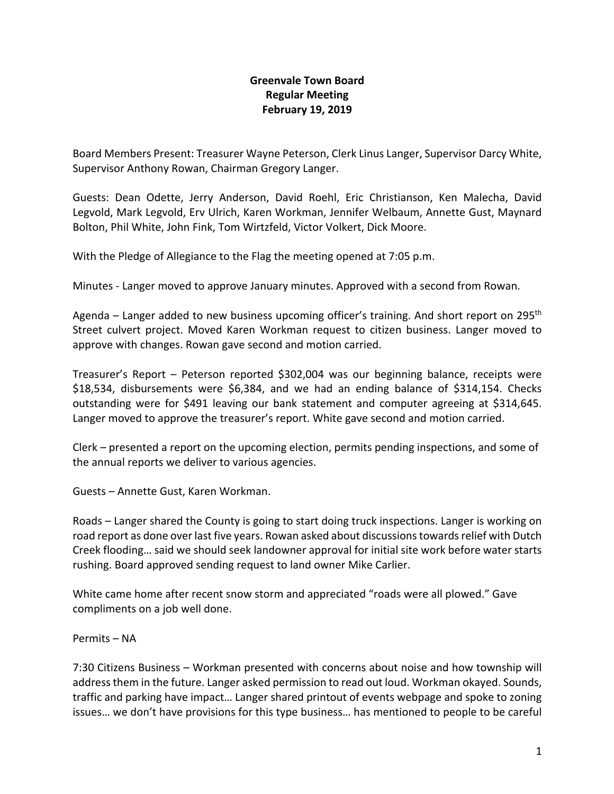## **Greenvale Town Board Regular Meeting February 19, 2019**

Board Members Present: Treasurer Wayne Peterson, Clerk Linus Langer, Supervisor Darcy White, Supervisor Anthony Rowan, Chairman Gregory Langer.

Guests: Dean Odette, Jerry Anderson, David Roehl, Eric Christianson, Ken Malecha, David Legvold, Mark Legvold, Erv Ulrich, Karen Workman, Jennifer Welbaum, Annette Gust, Maynard Bolton, Phil White, John Fink, Tom Wirtzfeld, Victor Volkert, Dick Moore.

With the Pledge of Allegiance to the Flag the meeting opened at 7:05 p.m.

Minutes - Langer moved to approve January minutes. Approved with a second from Rowan.

Agenda – Langer added to new business upcoming officer's training. And short report on 295<sup>th</sup> Street culvert project. Moved Karen Workman request to citizen business. Langer moved to approve with changes. Rowan gave second and motion carried.

Treasurer's Report – Peterson reported \$302,004 was our beginning balance, receipts were \$18,534, disbursements were \$6,384, and we had an ending balance of \$314,154. Checks outstanding were for \$491 leaving our bank statement and computer agreeing at \$314,645. Langer moved to approve the treasurer's report. White gave second and motion carried.

Clerk – presented a report on the upcoming election, permits pending inspections, and some of the annual reports we deliver to various agencies.

Guests – Annette Gust, Karen Workman.

Roads – Langer shared the County is going to start doing truck inspections. Langer is working on road report as done over last five years. Rowan asked about discussions towards relief with Dutch Creek flooding… said we should seek landowner approval for initial site work before water starts rushing. Board approved sending request to land owner Mike Carlier.

White came home after recent snow storm and appreciated "roads were all plowed." Gave compliments on a job well done.

Permits – NA

7:30 Citizens Business – Workman presented with concerns about noise and how township will address them in the future. Langer asked permission to read out loud. Workman okayed. Sounds, traffic and parking have impact… Langer shared printout of events webpage and spoke to zoning issues… we don't have provisions for this type business… has mentioned to people to be careful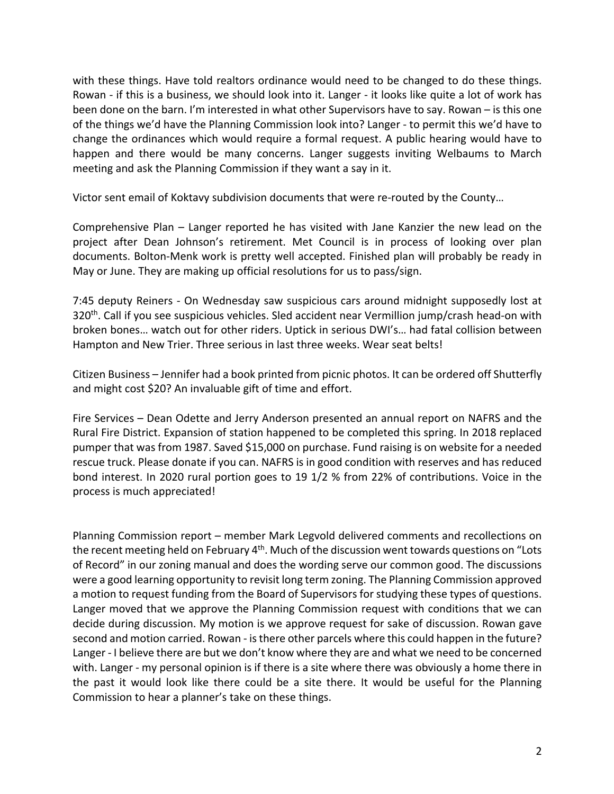with these things. Have told realtors ordinance would need to be changed to do these things. Rowan - if this is a business, we should look into it. Langer - it looks like quite a lot of work has been done on the barn. I'm interested in what other Supervisors have to say. Rowan – is this one of the things we'd have the Planning Commission look into? Langer - to permit this we'd have to change the ordinances which would require a formal request. A public hearing would have to happen and there would be many concerns. Langer suggests inviting Welbaums to March meeting and ask the Planning Commission if they want a say in it.

Victor sent email of Koktavy subdivision documents that were re-routed by the County…

Comprehensive Plan – Langer reported he has visited with Jane Kanzier the new lead on the project after Dean Johnson's retirement. Met Council is in process of looking over plan documents. Bolton-Menk work is pretty well accepted. Finished plan will probably be ready in May or June. They are making up official resolutions for us to pass/sign.

7:45 deputy Reiners - On Wednesday saw suspicious cars around midnight supposedly lost at 320th. Call if you see suspicious vehicles. Sled accident near Vermillion jump/crash head-on with broken bones… watch out for other riders. Uptick in serious DWI's… had fatal collision between Hampton and New Trier. Three serious in last three weeks. Wear seat belts!

Citizen Business – Jennifer had a book printed from picnic photos. It can be ordered off Shutterfly and might cost \$20? An invaluable gift of time and effort.

Fire Services – Dean Odette and Jerry Anderson presented an annual report on NAFRS and the Rural Fire District. Expansion of station happened to be completed this spring. In 2018 replaced pumper that was from 1987. Saved \$15,000 on purchase. Fund raising is on website for a needed rescue truck. Please donate if you can. NAFRS is in good condition with reserves and has reduced bond interest. In 2020 rural portion goes to 19 1/2 % from 22% of contributions. Voice in the process is much appreciated!

Planning Commission report – member Mark Legvold delivered comments and recollections on the recent meeting held on February 4<sup>th</sup>. Much of the discussion went towards questions on "Lots of Record" in our zoning manual and does the wording serve our common good. The discussions were a good learning opportunity to revisit long term zoning. The Planning Commission approved a motion to request funding from the Board of Supervisors for studying these types of questions. Langer moved that we approve the Planning Commission request with conditions that we can decide during discussion. My motion is we approve request for sake of discussion. Rowan gave second and motion carried. Rowan - is there other parcels where this could happen in the future? Langer - I believe there are but we don't know where they are and what we need to be concerned with. Langer - my personal opinion is if there is a site where there was obviously a home there in the past it would look like there could be a site there. It would be useful for the Planning Commission to hear a planner's take on these things.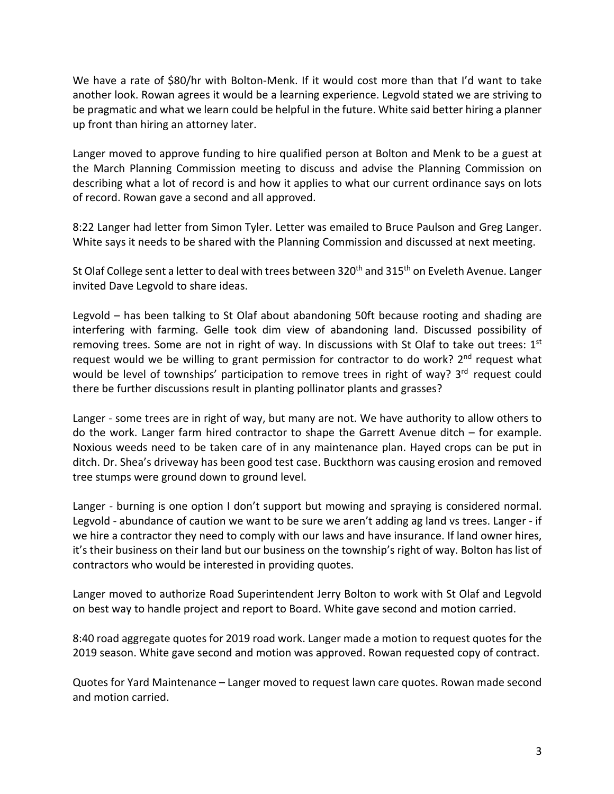We have a rate of \$80/hr with Bolton-Menk. If it would cost more than that I'd want to take another look. Rowan agrees it would be a learning experience. Legvold stated we are striving to be pragmatic and what we learn could be helpful in the future. White said better hiring a planner up front than hiring an attorney later.

Langer moved to approve funding to hire qualified person at Bolton and Menk to be a guest at the March Planning Commission meeting to discuss and advise the Planning Commission on describing what a lot of record is and how it applies to what our current ordinance says on lots of record. Rowan gave a second and all approved.

8:22 Langer had letter from Simon Tyler. Letter was emailed to Bruce Paulson and Greg Langer. White says it needs to be shared with the Planning Commission and discussed at next meeting.

St Olaf College sent a letter to deal with trees between 320<sup>th</sup> and 315<sup>th</sup> on Eveleth Avenue. Langer invited Dave Legvold to share ideas.

Legvold – has been talking to St Olaf about abandoning 50ft because rooting and shading are interfering with farming. Gelle took dim view of abandoning land. Discussed possibility of removing trees. Some are not in right of way. In discussions with St Olaf to take out trees:  $1<sup>st</sup>$ request would we be willing to grant permission for contractor to do work?  $2<sup>nd</sup>$  request what would be level of townships' participation to remove trees in right of way? 3<sup>rd</sup> request could there be further discussions result in planting pollinator plants and grasses?

Langer - some trees are in right of way, but many are not. We have authority to allow others to do the work. Langer farm hired contractor to shape the Garrett Avenue ditch – for example. Noxious weeds need to be taken care of in any maintenance plan. Hayed crops can be put in ditch. Dr. Shea's driveway has been good test case. Buckthorn was causing erosion and removed tree stumps were ground down to ground level.

Langer - burning is one option I don't support but mowing and spraying is considered normal. Legvold - abundance of caution we want to be sure we aren't adding ag land vs trees. Langer - if we hire a contractor they need to comply with our laws and have insurance. If land owner hires, it's their business on their land but our business on the township's right of way. Bolton has list of contractors who would be interested in providing quotes.

Langer moved to authorize Road Superintendent Jerry Bolton to work with St Olaf and Legvold on best way to handle project and report to Board. White gave second and motion carried.

8:40 road aggregate quotes for 2019 road work. Langer made a motion to request quotes for the 2019 season. White gave second and motion was approved. Rowan requested copy of contract.

Quotes for Yard Maintenance – Langer moved to request lawn care quotes. Rowan made second and motion carried.